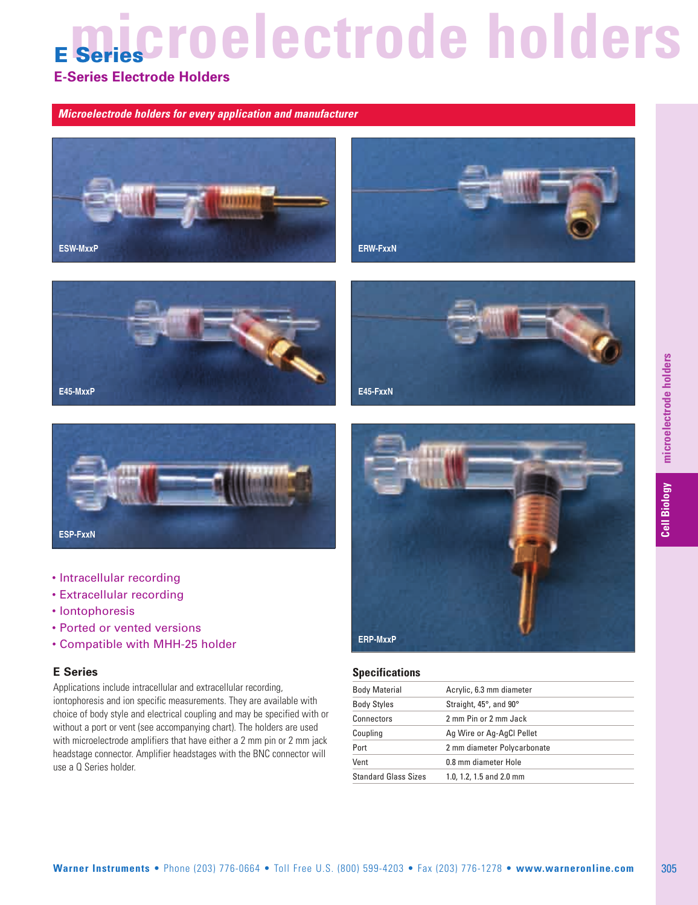# **icroelectrode holders**

### **E-Series Electrode Holders**

*Microelectrode holders for every application and manufacturer*











- Intracellular recording
- Extracellular recording
- Iontophoresis
- Ported or vented versions
- Compatible with MHH-25 holder

#### **E Series**

Applications include intracellular and extracellular recording, iontophoresis and ion specific measurements. They are available with choice of body style and electrical coupling and may be specified with or without a port or vent (see accompanying chart). The holders are used with microelectrode amplifiers that have either a 2 mm pin or 2 mm jack headstage connector. Amplifier headstages with the BNC connector will use a Q Series holder.



#### **Specifications**

| Body Material        | Acrylic, 6.3 mm diameter    |
|----------------------|-----------------------------|
| Body Styles          | Straight, 45°, and 90°      |
| Connectors           | 2 mm Pin or 2 mm Jack       |
| Coupling             | Ag Wire or Ag-AgCl Pellet   |
| Port                 | 2 mm diameter Polycarbonate |
| Vent                 | 0.8 mm diameter Hole        |
| Standard Glass Sizes | 1.0, 1.2, 1.5 and 2.0 mm    |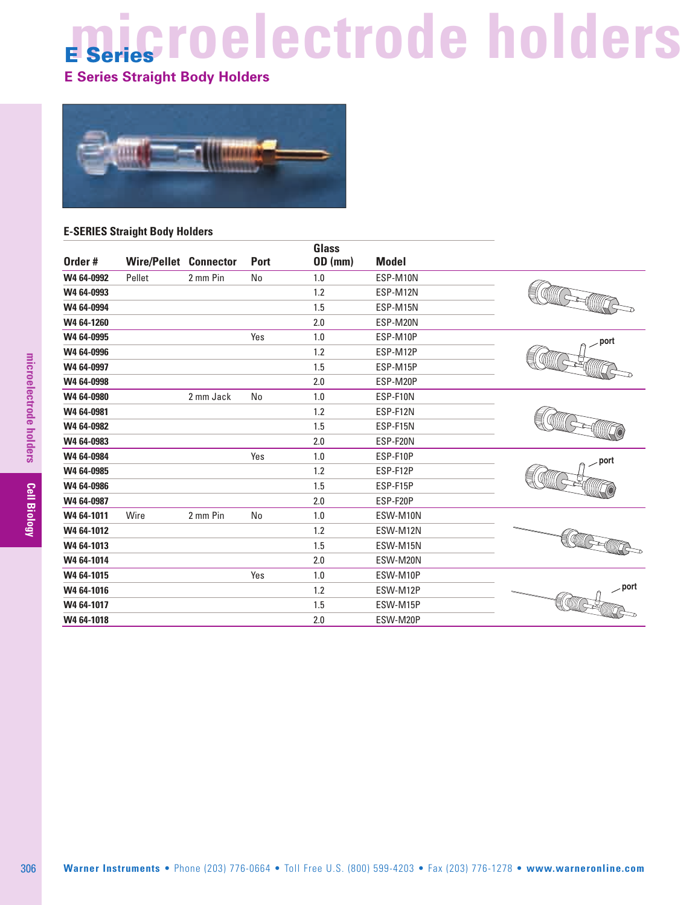# **E Series microelectrode holders**

### **E Series Straight Body Holders**



#### **E-SERIES Straight Body Holders**

| W4 64-0992<br>W4 64-0993<br>W4 64-0994<br>W4 64-1260<br>W4 64-0995<br>W4 64-0996<br>W4 64-0997<br>W4 64-0998<br>W4 64-0980<br>W4 64-0981<br>W4 64-0982<br>W4 64-0983<br>W4 64-0984 | Pellet | 2 mm Pin<br>2 mm Jack | $\mathsf{No}$<br>Yes<br>No | $1.0\,$<br>1.2<br>1.5<br>2.0<br>1.0<br>1.2<br>1.5<br>$2.0\,$ | ESP-M10N<br>ESP-M12N<br>ESP-M15N<br>ESP-M20N<br>ESP-M10P<br>ESP-M12P<br>ESP-M15P<br>ESP-M20P | . port |
|------------------------------------------------------------------------------------------------------------------------------------------------------------------------------------|--------|-----------------------|----------------------------|--------------------------------------------------------------|----------------------------------------------------------------------------------------------|--------|
|                                                                                                                                                                                    |        |                       |                            |                                                              |                                                                                              |        |
|                                                                                                                                                                                    |        |                       |                            |                                                              |                                                                                              |        |
|                                                                                                                                                                                    |        |                       |                            |                                                              |                                                                                              |        |
|                                                                                                                                                                                    |        |                       |                            |                                                              |                                                                                              |        |
|                                                                                                                                                                                    |        |                       |                            |                                                              |                                                                                              |        |
|                                                                                                                                                                                    |        |                       |                            |                                                              |                                                                                              |        |
|                                                                                                                                                                                    |        |                       |                            |                                                              |                                                                                              |        |
|                                                                                                                                                                                    |        |                       |                            |                                                              |                                                                                              |        |
|                                                                                                                                                                                    |        |                       |                            | $1.0\,$                                                      | ESP-F10N                                                                                     |        |
|                                                                                                                                                                                    |        |                       |                            | 1.2                                                          | ESP-F12N                                                                                     |        |
|                                                                                                                                                                                    |        |                       |                            | 1.5                                                          | ESP-F15N                                                                                     |        |
|                                                                                                                                                                                    |        |                       |                            | $2.0\,$                                                      | ESP-F20N                                                                                     |        |
|                                                                                                                                                                                    |        |                       | Yes                        | 1.0                                                          | ESP-F10P                                                                                     | port   |
| W4 64-0985                                                                                                                                                                         |        |                       |                            | 1.2                                                          | ESP-F12P                                                                                     |        |
| W4 64-0986                                                                                                                                                                         |        |                       |                            | 1.5                                                          | ESP-F15P                                                                                     |        |
| W4 64-0987                                                                                                                                                                         |        |                       |                            | $2.0\,$                                                      | ESP-F20P                                                                                     |        |
| W4 64-1011<br>Wire                                                                                                                                                                 |        | 2 mm Pin              | No                         | 1.0                                                          | ESW-M10N                                                                                     |        |
| W4 64-1012                                                                                                                                                                         |        |                       |                            | 1.2                                                          | ESW-M12N                                                                                     |        |
| W4 64-1013                                                                                                                                                                         |        |                       |                            | 1.5                                                          | ESW-M15N                                                                                     |        |
| W4 64-1014                                                                                                                                                                         |        |                       |                            | 2.0                                                          | ESW-M20N                                                                                     |        |
| W4 64-1015                                                                                                                                                                         |        |                       | Yes                        | 1.0                                                          | ESW-M10P                                                                                     |        |
| W4 64-1016                                                                                                                                                                         |        |                       |                            | 1.2                                                          | ESW-M12P                                                                                     | port   |
| W4 64-1017                                                                                                                                                                         |        |                       |                            | 1.5                                                          | ESW-M15P                                                                                     |        |
| W4 64-1018                                                                                                                                                                         |        |                       |                            | 2.0                                                          | ESW-M20P                                                                                     |        |
|                                                                                                                                                                                    |        |                       |                            |                                                              |                                                                                              |        |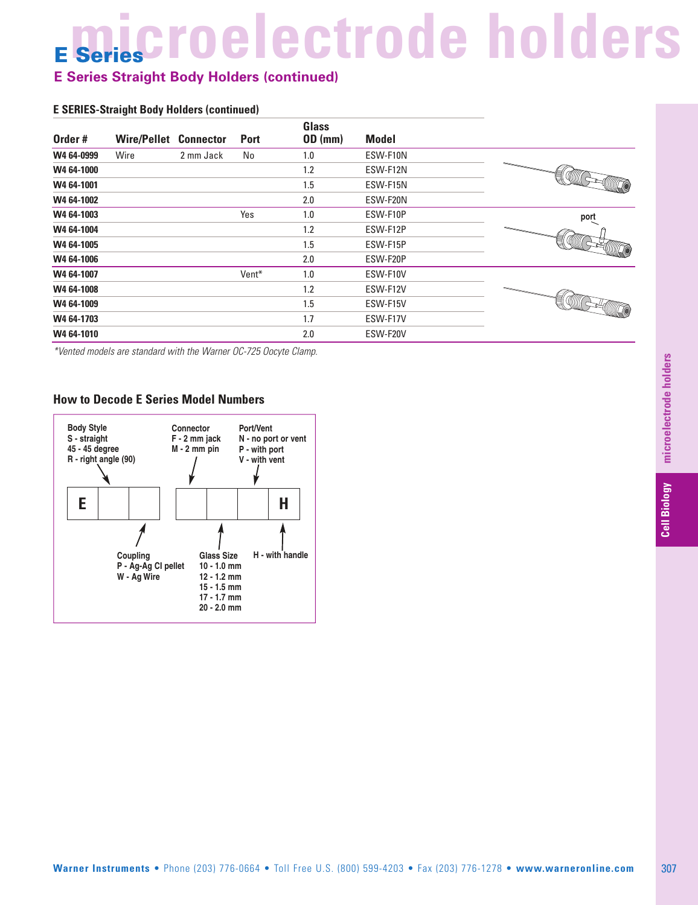# **E Series microelectrode holders**

### **E Series Straight Body Holders (continued)**

#### **E SERIES-Straight Body Holders (continued)**

| Order#     | <b>Wire/Pellet</b> | <b>Connector</b> | <b>Port</b> | <b>Glass</b><br>OD (mm) | <b>Model</b> |                                                                                                                                                                                                                                                                                                                                                                         |
|------------|--------------------|------------------|-------------|-------------------------|--------------|-------------------------------------------------------------------------------------------------------------------------------------------------------------------------------------------------------------------------------------------------------------------------------------------------------------------------------------------------------------------------|
| W4 64-0999 | Wire               | 2 mm Jack        | No          | 1.0                     | ESW-F10N     |                                                                                                                                                                                                                                                                                                                                                                         |
| W4 64-1000 |                    |                  |             | 1.2                     | ESW-F12N     | ' allilli                                                                                                                                                                                                                                                                                                                                                               |
| W4 64-1001 |                    |                  |             | 1.5                     | ESW-F15N     |                                                                                                                                                                                                                                                                                                                                                                         |
| W4 64-1002 |                    |                  |             | 2.0                     | ESW-F20N     |                                                                                                                                                                                                                                                                                                                                                                         |
| W4 64-1003 |                    |                  | Yes         | 1.0                     | ESW-F10P     | port                                                                                                                                                                                                                                                                                                                                                                    |
| W4 64-1004 |                    |                  |             | 1.2                     | ESW-F12P     | 一                                                                                                                                                                                                                                                                                                                                                                       |
| W4 64-1005 |                    |                  |             | 1.5                     | ESW-F15P     |                                                                                                                                                                                                                                                                                                                                                                         |
| W4 64-1006 |                    |                  |             | 2.0                     | ESW-F20P     |                                                                                                                                                                                                                                                                                                                                                                         |
| W4 64-1007 |                    |                  | Vent*       | 1.0                     | ESW-F10V     |                                                                                                                                                                                                                                                                                                                                                                         |
| W4 64-1008 |                    |                  |             | 1.2                     | ESW-F12V     | $\begin{picture}(20,20) \put(0,0){\dashbox{0.5}(20,0){ }} \put(15,0){\dashbox{0.5}(20,0){ }} \put(25,0){\dashbox{0.5}(20,0){ }} \put(25,0){\dashbox{0.5}(20,0){ }} \put(25,0){\dashbox{0.5}(20,0){ }} \put(25,0){\dashbox{0.5}(20,0){ }} \put(25,0){\dashbox{0.5}(20,0){ }} \put(25,0){\dashbox{0.5}(20,0){ }} \put(25,0){\dashbox{0.5}(20,0){ }} \put(25,0){\dashbox{$ |
| W4 64-1009 |                    |                  |             | 1.5                     | ESW-F15V     |                                                                                                                                                                                                                                                                                                                                                                         |
| W4 64-1703 |                    |                  |             | 1.7                     | ESW-F17V     |                                                                                                                                                                                                                                                                                                                                                                         |
| W4 64-1010 |                    |                  |             | 2.0                     | ESW-F20V     |                                                                                                                                                                                                                                                                                                                                                                         |

*\*Vented models are standard with the Warner OC-725 Oocyte Clamp.*

#### **How to Decode E Series Model Numbers**

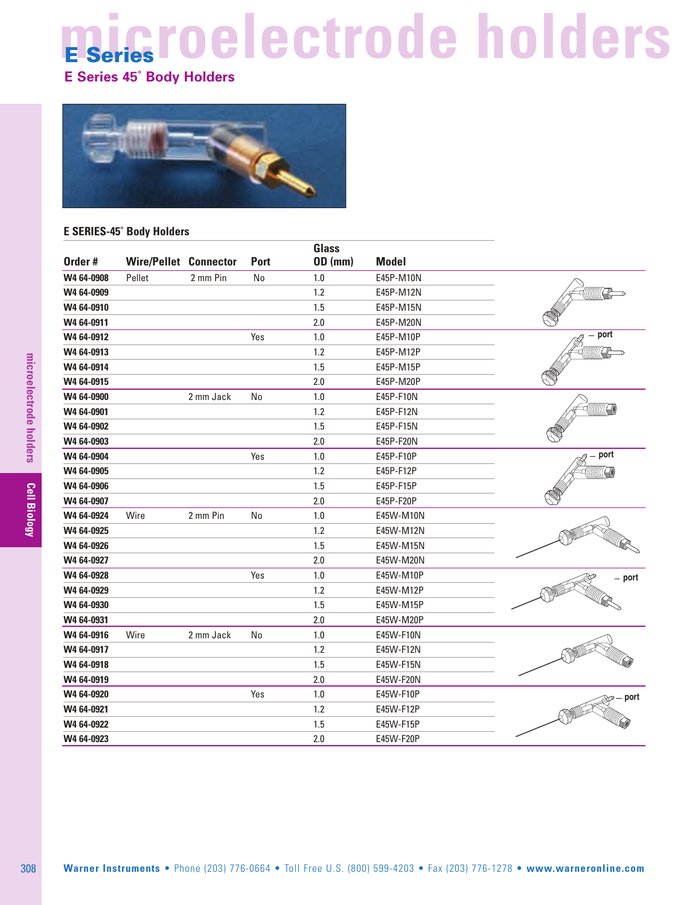# **microelectrode holders E Series**

### **E Series 45˚ Body Holders**



#### **E SERIES-45˚ Body Holders**

| Order#     | <b>Wire/Pellet Connector</b> |           | <b>Port</b> | <b>Glass</b><br><b>OD</b> (mm) | <b>Model</b> |                        |
|------------|------------------------------|-----------|-------------|--------------------------------|--------------|------------------------|
| W4 64-0908 | Pellet                       | 2 mm Pin  | No          | 1.0                            | E45P-M10N    |                        |
| W4 64-0909 |                              |           |             | 1.2                            | E45P-M12N    |                        |
| W4 64-0910 |                              |           |             | 1.5                            | E45P-M15N    |                        |
| W4 64-0911 |                              |           |             | 2.0                            | E45P-M20N    |                        |
| W4 64-0912 |                              |           | Yes         | 1.0                            | E45P-M10P    | - port                 |
| W4 64-0913 |                              |           |             | 1.2                            | E45P-M12P    |                        |
| W4 64-0914 |                              |           |             | 1.5                            | E45P-M15P    |                        |
| W4 64-0915 |                              |           |             | 2.0                            | E45P-M20P    |                        |
| W4 64-0900 |                              | 2 mm Jack | No          | 1.0                            | E45P-F10N    |                        |
| W4 64-0901 |                              |           |             | 1.2                            | E45P-F12N    |                        |
| W4 64-0902 |                              |           |             | 1.5                            | E45P-F15N    |                        |
| W4 64-0903 |                              |           |             | 2.0                            | E45P-F20N    |                        |
| W4 64-0904 |                              |           | Yes         | 1.0                            | E45P-F10P    | port                   |
| W4 64-0905 |                              |           |             | 1.2                            | E45P-F12P    | (((((((((( <b>- ()</b> |
| W4 64-0906 |                              |           |             | 1.5                            | E45P-F15P    |                        |
| W4 64-0907 |                              |           |             | 2.0                            | E45P-F20P    |                        |
| W4 64-0924 | Wire                         | 2 mm Pin  | No          | 1.0                            | E45W-M10N    |                        |
| W4 64-0925 |                              |           |             | 1.2                            | E45W-M12N    |                        |
| W4 64-0926 |                              |           |             | 1.5                            | E45W-M15N    |                        |
| W4 64-0927 |                              |           |             | 2.0                            | E45W-M20N    |                        |
| W4 64-0928 |                              |           | Yes         | 1.0                            | E45W-M10P    | - port                 |
| W4 64-0929 |                              |           |             | 1.2                            | E45W-M12P    |                        |
| W4 64-0930 |                              |           |             | 1.5                            | E45W-M15P    |                        |
| W4 64-0931 |                              |           |             | 2.0                            | E45W-M20P    |                        |
| W4 64-0916 | Wire                         | 2 mm Jack | No          | 1.0                            | E45W-F10N    |                        |
| W4 64-0917 |                              |           |             | 1.2                            | E45W-F12N    |                        |
| W4 64-0918 |                              |           |             | 1.5                            | E45W-F15N    |                        |
| W4 64-0919 |                              |           |             | 2.0                            | E45W-F20N    |                        |
| W4 64-0920 |                              |           | Yes         | 1.0                            | E45W-F10P    | . port                 |
| W4 64-0921 |                              |           |             | 1.2                            | E45W-F12P    |                        |
| W4 64-0922 |                              |           |             | 1.5                            | E45W-F15P    |                        |
| W4 64-0923 |                              |           |             | 2.0                            | E45W-F20P    |                        |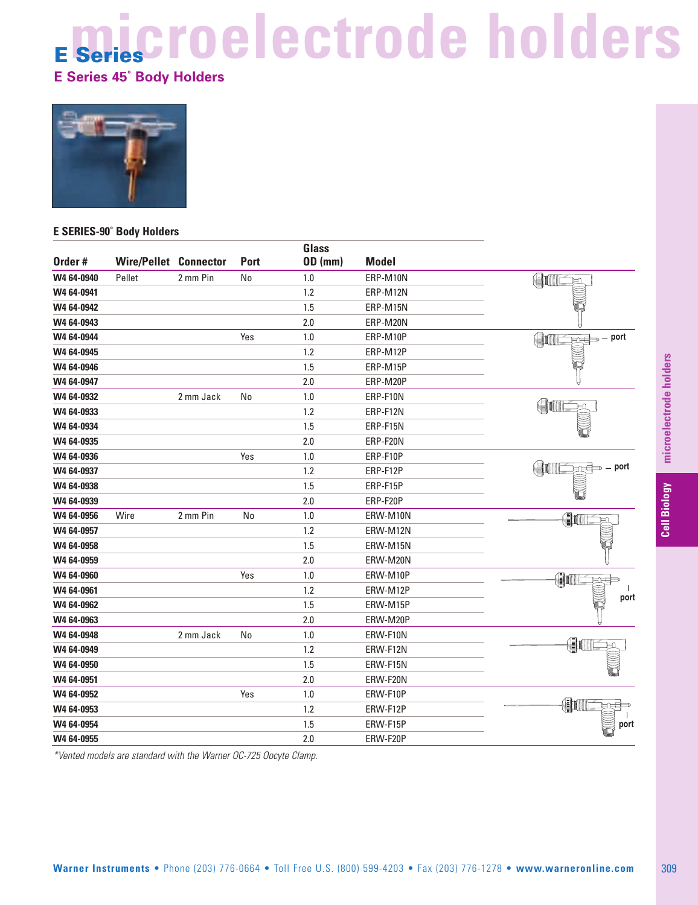# **microelectrode holders E Series**

**E Series 45˚ Body Holders**



#### **E SERIES-90˚ Body Holders**

| W4 64-0940<br>Pellet<br>W4 64-0941<br>W4 64-0942<br>W4 64-0943<br>W4 64-0944 | 2 mm Pin  |     | <b>OD</b> (mm) | <b>Model</b> |                                                              |
|------------------------------------------------------------------------------|-----------|-----|----------------|--------------|--------------------------------------------------------------|
|                                                                              |           | No  | 1.0            | ERP-M10N     | <b>Command</b>                                               |
|                                                                              |           |     | 1.2            | ERP-M12N     |                                                              |
|                                                                              |           |     | 1.5            | ERP-M15N     |                                                              |
|                                                                              |           |     | 2.0            | ERP-M20N     |                                                              |
|                                                                              |           | Yes | 1.0            | ERP-M10P     | $\overline{\mathbb{R}}$ $\Rightarrow$ - port<br><b>HANGE</b> |
| W4 64-0945                                                                   |           |     | 1.2            | ERP-M12P     |                                                              |
| W4 64-0946                                                                   |           |     | 1.5            | ERP-M15P     |                                                              |
| W4 64-0947                                                                   |           |     | 2.0            | ERP-M20P     |                                                              |
| W4 64-0932                                                                   | 2 mm Jack | No  | $1.0\,$        | ERP-F10N     |                                                              |
| W4 64-0933                                                                   |           |     | 1.2            | ERP-F12N     | $\bigoplus$                                                  |
| W4 64-0934                                                                   |           |     | 1.5            | ERP-F15N     |                                                              |
| W4 64-0935                                                                   |           |     | 2.0            | ERP-F20N     |                                                              |
| W4 64-0936                                                                   |           | Yes | 1.0            | ERP-F10P     |                                                              |
| W4 64-0937                                                                   |           |     | 1.2            | ERP-F12P     | - port<br>$\mathbb H$<br>Ð                                   |
| W4 64-0938                                                                   |           |     | 1.5            | ERP-F15P     |                                                              |
| W4 64-0939                                                                   |           |     | 2.0            | ERP-F20P     |                                                              |
| W4 64-0956<br>Wire                                                           | 2 mm Pin  | No  | 1.0            | ERW-M10N     | (N                                                           |
| W4 64-0957                                                                   |           |     | 1.2            | ERW-M12N     |                                                              |
| W4 64-0958                                                                   |           |     | 1.5            | ERW-M15N     |                                                              |
| W4 64-0959                                                                   |           |     | 2.0            | ERW-M20N     |                                                              |
| W4 64-0960                                                                   |           | Yes | 1.0            | ERW-M10P     | (∥I<br>原中                                                    |
| W4 64-0961                                                                   |           |     | 1.2            | ERW-M12P     |                                                              |
| W4 64-0962                                                                   |           |     | 1.5            | ERW-M15P     | port                                                         |
| W4 64-0963                                                                   |           |     | 2.0            | ERW-M20P     |                                                              |
| W4 64-0948                                                                   | 2 mm Jack | No  | 1.0            | ERW-F10N     |                                                              |
| W4 64-0949                                                                   |           |     | 1.2            | ERW-F12N     | $\bigoplus$                                                  |
| W4 64-0950                                                                   |           |     | 1.5            | ERW-F15N     |                                                              |
| W4 64-0951                                                                   |           |     | 2.0            | ERW-F20N     |                                                              |
| W4 64-0952                                                                   |           | Yes | 1.0            | ERW-F10P     |                                                              |
| W4 64-0953                                                                   |           |     | 1.2            | ERW-F12P     | (h                                                           |
| W4 64-0954                                                                   |           |     | 1.5            | ERW-F15P     | port                                                         |
| W4 64-0955                                                                   |           |     | 2.0            | ERW-F20P     |                                                              |